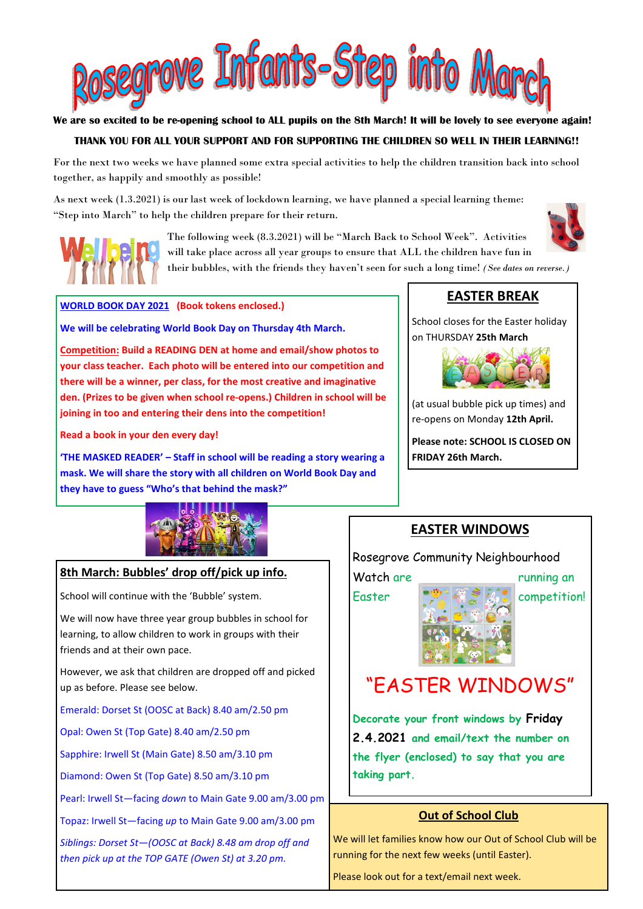

#### **We are so excited to be re-opening school to ALL pupils on the 8th March! It will be lovely to see everyone again!**

### **THANK YOU FOR ALL YOUR SUPPORT AND FOR SUPPORTING THE CHILDREN SO WELL IN THEIR LEARNING!!**

For the next two weeks we have planned some extra special activities to help the children transition back into school together, as happily and smoothly as possible!

As next week (1.3.2021) is our last week of lockdown learning, we have planned a special learning theme: "Step into March" to help the children prepare for their return.



The following week (8.3.2021) will be "March Back to School Week". Activities will take place across all year groups to ensure that ALL the children have fun in their bubbles, with the friends they haven't seen for such a long time! *(See dates on reverse.)*



**WORLD BOOK DAY 2021 (Book tokens enclosed.)** 

**We will be celebrating World Book Day on Thursday 4th March.** 

**Competition: Build a READING DEN at home and email/show photos to your class teacher. Each photo will be entered into our competition and there will be a winner, per class, for the most creative and imaginative den. (Prizes to be given when school re-opens.) Children in school will be joining in too and entering their dens into the competition!** 

**Read a book in your den every day!** 

**'THE MASKED READER' – Staff in school will be reading a story wearing a mask. We will share the story with all children on World Book Day and they have to guess "Who's that behind the mask?"** 

## **EASTER BREAK**

School closes for the Easter holiday on THURSDAY **25th March** 



(at usual bubble pick up times) and re-opens on Monday **12th April.**

**Please note: SCHOOL IS CLOSED ON FRIDAY 26th March.** 



#### **8th March: Bubbles' drop off/pick up info.**

School will continue with the 'Bubble' system.

We will now have three year group bubbles in school for learning, to allow children to work in groups with their friends and at their own pace.

However, we ask that children are dropped off and picked up as before. Please see below.

Emerald: Dorset St (OOSC at Back) 8.40 am/2.50 pm

Opal: Owen St (Top Gate) 8.40 am/2.50 pm

Sapphire: Irwell St (Main Gate) 8.50 am/3.10 pm

Diamond: Owen St (Top Gate) 8.50 am/3.10 pm

Pearl: Irwell St—facing *down* to Main Gate 9.00 am/3.00 pm

Topaz: Irwell St—facing *up* to Main Gate 9.00 am/3.00 pm

*Siblings: Dorset St—(OOSC at Back) 8.48 am drop off and then pick up at the TOP GATE (Owen St) at 3.20 pm.* 

### **EASTER WINDOWS**

Rosegrove Community Neighbourhood

Watch are running an

Easter competition!

# "EASTER WINDOWS"

**Decorate your front windows by Friday 2.4.2021 and email/text the number on the flyer (enclosed) to say that you are taking part.** 

#### **Out of School Club**

We will let families know how our Out of School Club will be running for the next few weeks (until Easter).

Please look out for a text/email next week.